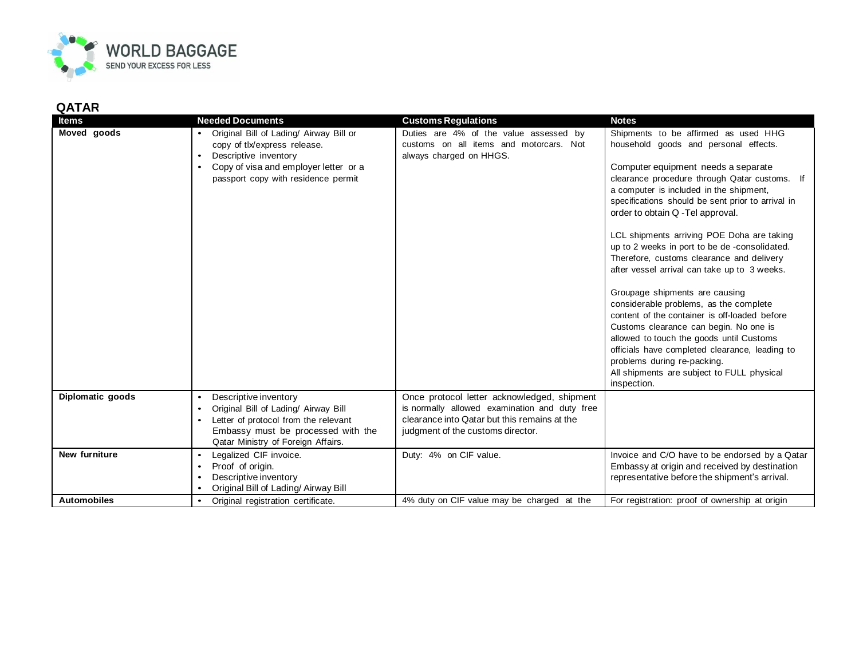

## **QATAR**

| <b>Items</b>       | <b>Needed Documents</b>                                                                                                                                                                                     | <b>Customs Regulations</b>                                                                                                                                                        | <b>Notes</b>                                                                                                                                                                                                                                                                                                                                                  |
|--------------------|-------------------------------------------------------------------------------------------------------------------------------------------------------------------------------------------------------------|-----------------------------------------------------------------------------------------------------------------------------------------------------------------------------------|---------------------------------------------------------------------------------------------------------------------------------------------------------------------------------------------------------------------------------------------------------------------------------------------------------------------------------------------------------------|
| Moved goods        | Original Bill of Lading/ Airway Bill or<br>copy of tlx/express release.<br>Descriptive inventory                                                                                                            | Duties are 4% of the value assessed by<br>customs on all items and motorcars. Not<br>always charged on HHGS.                                                                      | Shipments to be affirmed as used HHG<br>household goods and personal effects.                                                                                                                                                                                                                                                                                 |
|                    | Copy of visa and employer letter or a<br>$\bullet$<br>passport copy with residence permit                                                                                                                   |                                                                                                                                                                                   | Computer equipment needs a separate<br>clearance procedure through Qatar customs. If<br>a computer is included in the shipment,<br>specifications should be sent prior to arrival in<br>order to obtain Q -Tel approval.                                                                                                                                      |
|                    |                                                                                                                                                                                                             |                                                                                                                                                                                   | LCL shipments arriving POE Doha are taking<br>up to 2 weeks in port to be de-consolidated.<br>Therefore, customs clearance and delivery<br>after vessel arrival can take up to 3 weeks.                                                                                                                                                                       |
|                    |                                                                                                                                                                                                             |                                                                                                                                                                                   | Groupage shipments are causing<br>considerable problems, as the complete<br>content of the container is off-loaded before<br>Customs clearance can begin. No one is<br>allowed to touch the goods until Customs<br>officials have completed clearance, leading to<br>problems during re-packing.<br>All shipments are subject to FULL physical<br>inspection. |
| Diplomatic goods   | Descriptive inventory<br>$\bullet$<br>Original Bill of Lading/ Airway Bill<br>Letter of protocol from the relevant<br>$\bullet$<br>Embassy must be processed with the<br>Qatar Ministry of Foreign Affairs. | Once protocol letter acknowledged, shipment<br>is normally allowed examination and duty free<br>clearance into Qatar but this remains at the<br>judgment of the customs director. |                                                                                                                                                                                                                                                                                                                                                               |
| New furniture      | Legalized CIF invoice.<br>$\bullet$<br>Proof of origin.<br>Descriptive inventory<br>$\bullet$<br>Original Bill of Lading/ Airway Bill<br>$\bullet$                                                          | Duty: 4% on CIF value.                                                                                                                                                            | Invoice and C/O have to be endorsed by a Qatar<br>Embassy at origin and received by destination<br>representative before the shipment's arrival.                                                                                                                                                                                                              |
| <b>Automobiles</b> | Original registration certificate.<br>$\bullet$                                                                                                                                                             | 4% duty on CIF value may be charged at the                                                                                                                                        | For registration: proof of ownership at origin                                                                                                                                                                                                                                                                                                                |